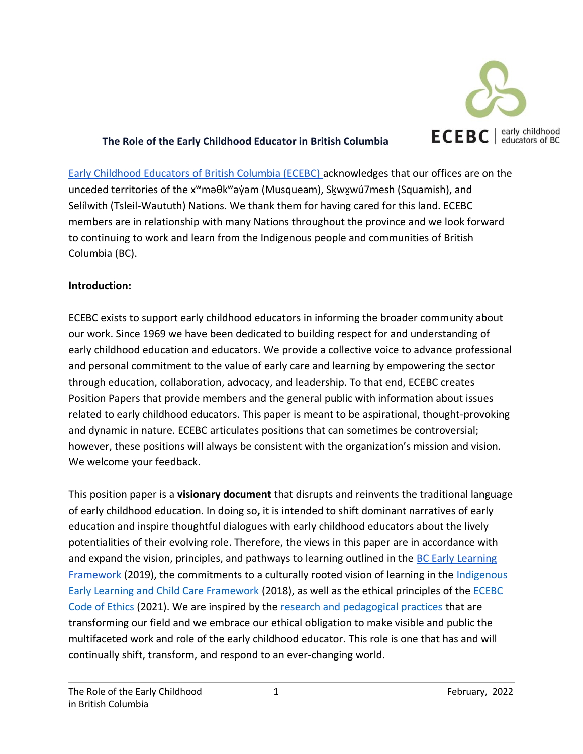

### **The Role of the Early Childhood Educator in British Columbia**

[Early Childhood Educators of British Columbia \(ECEBC\) a](https://www.ecebc.ca/)cknowledges that our offices are on the unceded territories of the x<sup>w</sup>məθk<sup>w</sup>əγ̓əm (Musqueam), Skwxwú7mesh (Squamish), and Selílwith (Tsleil-Waututh) Nations. We thank them for having cared for this land. ECEBC members are in relationship with many Nations throughout the province and we look forward to continuing to work and learn from the Indigenous people and communities of British Columbia (BC).

#### **Introduction:**

ECEBC exists to support early childhood educators in informing the broader community about our work. Since 1969 we have been dedicated to building respect for and understanding of early childhood education and educators. We provide a collective voice to advance professional and personal commitment to the value of early care and learning by empowering the sector through education, collaboration, advocacy, and leadership. To that end, ECEBC creates Position Papers that provide members and the general public with information about issues related to early childhood educators. This paper is meant to be aspirational, thought-provoking and dynamic in nature. ECEBC articulates positions that can sometimes be controversial; however, these positions will always be consistent with the organization's mission and vision. We welcome your feedback.

This position paper is a **visionary document** that disrupts and reinvents the traditional language of early childhood education. In doing so**,** it is intended to shift dominant narratives of early education and inspire thoughtful dialogues with early childhood educators about the lively potentialities of their evolving role. Therefore, the views in this paper are in accordance with and expand the vision, principles, and pathways to learning outlined in the BC Early Learning [Framework](https://www2.gov.bc.ca/gov/content/education-training/early-learning/teach/early-learning-framework) (2019), the commitments to a culturally rooted vision of learning in the [Indigenous](https://www.canada.ca/en/employment-social-development/programs/indigenous-early-learning/2018-framework.html)  [Early Learning and Child Care Framework](https://www.canada.ca/en/employment-social-development/programs/indigenous-early-learning/2018-framework.html) (2018), as well as the ethical principles of the [ECEBC](https://www.ecebc.ca/resources-merchandise/code-of-ethics)  [Code of Ethics](https://www.ecebc.ca/resources-merchandise/code-of-ethics) (2021). We are inspired by the [research and pedagogical practices](https://www.earlychildhoodcollaboratory.net/) that are transforming our field and we embrace our ethical obligation to make visible and public the multifaceted work and role of the early childhood educator. This role is one that has and will continually shift, transform, and respond to an ever-changing world.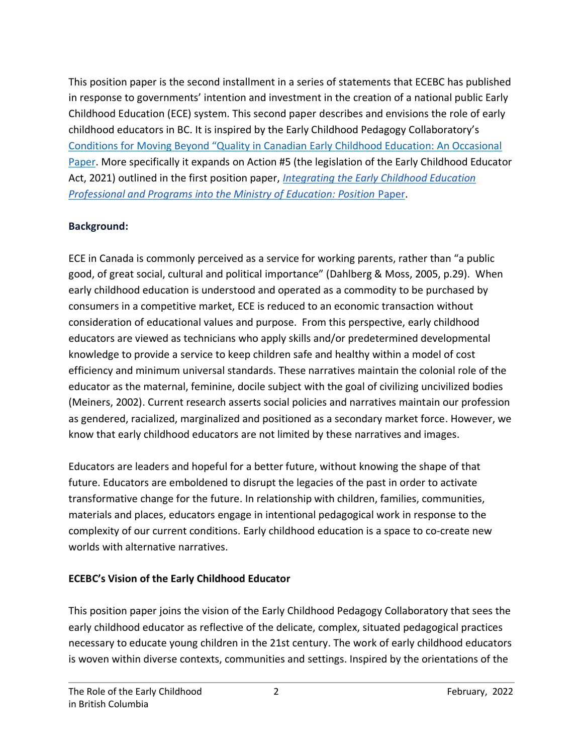This position paper is the second installment in a series of statements that ECEBC has published in response to governments' intention and investment in the creation of a national public Early Childhood Education (ECE) system. This second paper describes and envisions the role of early childhood educators in BC. It is inspired by the Early Childhood Pedagogy Collaboratory's [Conditions for Moving Beyond "Quality in Canadian Early Childhood Education: An Occasional](https://www.earlychildhoodcollaboratory.net/conditions-for-moving-beyond-quality-in-canadian-early-childhood-education)  [Paper.](https://www.earlychildhoodcollaboratory.net/conditions-for-moving-beyond-quality-in-canadian-early-childhood-education) More specifically it expands on Action #5 (the legislation of the Early Childhood Educator Act, 2021) outlined in the first position paper, *[Integrating the Early Childhood Education](https://www.ecebc.ca/application/files/5516/0582/5020/ECEBC_Position_Paper-_Ministry_Transition_final-.pdf)  [Professional and Programs into the Ministry of Education: Position](https://www.ecebc.ca/application/files/5516/0582/5020/ECEBC_Position_Paper-_Ministry_Transition_final-.pdf)* [Paper.](https://www.ecebc.ca/application/files/5516/0582/5020/ECEBC_Position_Paper-_Ministry_Transition_final-.pdf)

## **Background:**

ECE in Canada is commonly perceived as a service for working parents, rather than "a public good, of great social, cultural and political importance" (Dahlberg & Moss, 2005, p.29). When early childhood education is understood and operated as a commodity to be purchased by consumers in a competitive market, ECE is reduced to an economic transaction without consideration of educational values and purpose. From this perspective, early childhood educators are viewed as technicians who apply skills and/or predetermined developmental knowledge to provide a service to keep children safe and healthy within a model of cost efficiency and minimum universal standards. These narratives maintain the colonial role of the educator as the maternal, feminine, docile subject with the goal of civilizing uncivilized bodies (Meiners, 2002). Current research asserts social policies and narratives maintain our profession as gendered, racialized, marginalized and positioned as a secondary market force. However, we know that early childhood educators are not limited by these narratives and images.

Educators are leaders and hopeful for a better future, without knowing the shape of that future. Educators are emboldened to disrupt the legacies of the past in order to activate transformative change for the future. In relationship with children, families, communities, materials and places, educators engage in intentional pedagogical work in response to the complexity of our current conditions. Early childhood education is a space to co-create new worlds with alternative narratives.

# **ECEBC's Vision of the Early Childhood Educator**

This position paper joins the vision of the Early Childhood Pedagogy Collaboratory that sees the early childhood educator as reflective of the delicate, complex, situated pedagogical practices necessary to educate young children in the 21st century. The work of early childhood educators is woven within diverse contexts, communities and settings. Inspired by the orientations of the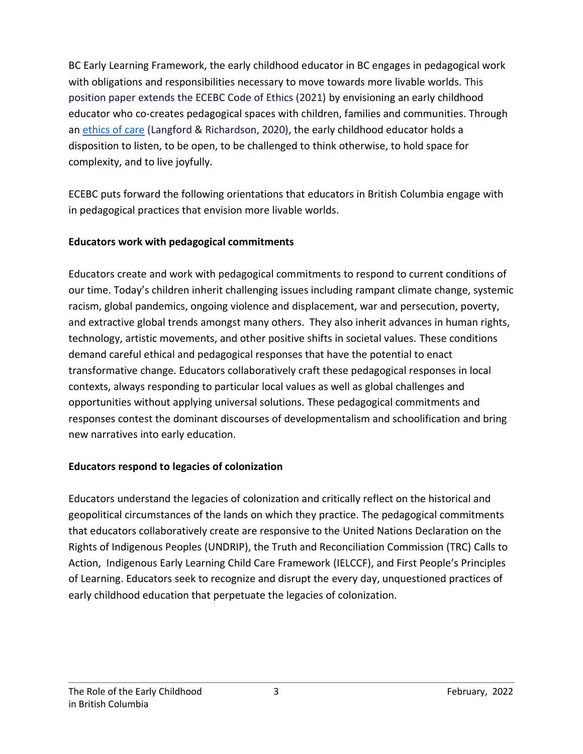BC Early Learning Framework, the early childhood educator in BC engages in pedagogical work with obligations and responsibilities necessary to move towards more livable worlds. This position paper extends the ECEBC Code of Ethics (2021) by envisioning an early childhood educator who co-creates pedagogical spaces with children, families and communities. Through an [ethics of care](https://careinece.ca/) (Langford & Richardson, 2020), the early childhood educator holds a disposition to listen, to be open, to be challenged to think otherwise, to hold space for complexity, and to live joyfully.

ECEBC puts forward the following orientations that educators in British Columbia engage with in pedagogical practices that envision more livable worlds.

### **Educators work with pedagogical commitments**

Educators create and work with pedagogical commitments to respond to current conditions of our time. Today's children inherit challenging issues including rampant climate change, systemic racism, global pandemics, ongoing violence and displacement, war and persecution, poverty, and extractive global trends amongst many others. They also inherit advances in human rights, technology, artistic movements, and other positive shifts in societal values. These conditions demand careful ethical and pedagogical responses that have the potential to enact transformative change. Educators collaboratively craft these pedagogical responses in local contexts, always responding to particular local values as well as global challenges and opportunities without applying universal solutions. These pedagogical commitments and responses contest the dominant discourses of developmentalism and schoolification and bring new narratives into early education.

# **Educators respond to legacies of colonization**

Educators understand the legacies of colonization and critically reflect on the historical and geopolitical circumstances of the lands on which they practice. The pedagogical commitments that educators collaboratively create are responsive to the [United Nations Declaration on the](https://www.un.org/development/desa/indigenouspeoples/wp-content/uploads/sites/19/2018/11/UNDRIP_E_web.pdf)  [Rights of Indigenous Peoples](https://www.un.org/development/desa/indigenouspeoples/wp-content/uploads/sites/19/2018/11/UNDRIP_E_web.pdf) [\(UNDRIP\),](https://www.un.org/development/desa/indigenouspeoples/wp-content/uploads/sites/19/2018/11/UNDRIP_E_web.pdf) the [Truth and Reconciliation Commission](https://nctr.ca/records/reports/) [\(TRC\)](https://nctr.ca/records/reports/) Calls to Action, [Indigenous Early Learning Child Care Framework](https://www.canada.ca/en/employment-social-development/programs/indigenous-early-learning/2018-framework.html) [\(IELCCF\),](https://www.canada.ca/en/employment-social-development/programs/indigenous-early-learning/2018-framework.html) and [First People's Principles](http://www.fnesc.ca/first-peoples-principles-of-learning/)  [of Learning.](http://www.fnesc.ca/first-peoples-principles-of-learning/) Educators seek to recognize and disrupt the every day, unquestioned practices of early childhood education that perpetuate the legacies of colonization.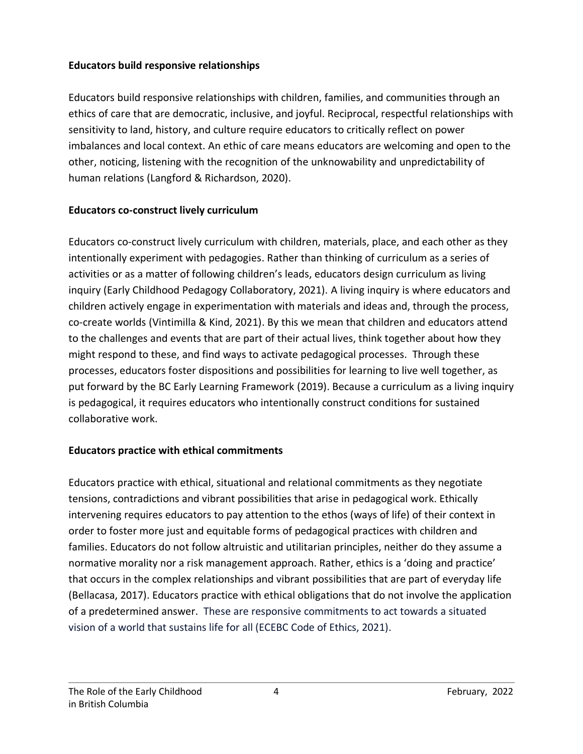### **Educators build responsive relationships**

Educators build responsive relationships with children, families, and communities through an ethics of care that are democratic, inclusive, and joyful. Reciprocal, respectful relationships with sensitivity to land, history, and culture require educators to critically reflect on power imbalances and local context. An ethic of care means educators are welcoming and open to the other, noticing, listening with the recognition of the unknowability and unpredictability of human relations (Langford & Richardson, 2020).

### **Educators co-construct lively curriculum**

Educators co-construct lively curriculum with children, materials, place, and each other as they intentionally experiment with pedagogies. Rather than thinking of curriculum as a series of activities or as a matter of following children's leads, educators design curriculum as living inquiry (Early Childhood Pedagogy Collaboratory, 2021). A living inquiry is where educators and children actively engage in experimentation with materials and ideas and, through the process, co-create worlds (Vintimilla & Kind, 2021). By this we mean that children and educators attend to the challenges and events that are part of their actual lives, think together about how they might respond to these, and find ways to activate pedagogical processes. Through these processes, educators foster dispositions and possibilities for learning to live well together, as put forward by the [BC Early Learning Framework](https://www2.gov.bc.ca/assets/gov/education/early-learning/teach/earlylearning/early_learning_framework.pdf) (2019). Because a curriculum as a living inquiry is pedagogical, it requires educators who intentionally construct conditions for sustained collaborative work.

#### **Educators practice with ethical commitments**

Educators practice with ethical, situational and relational commitments as they negotiate tensions, contradictions and vibrant possibilities that arise in pedagogical work. Ethically intervening requires educators to pay attention to the ethos (ways of life) of their context in order to foster more just and equitable forms of pedagogical practices with children and families. Educators do not follow altruistic and utilitarian principles, neither do they assume a normative morality nor a risk management approach. Rather, ethics is a 'doing and practice' that occurs in the complex relationships and vibrant possibilities that are part of everyday life (Bellacasa, 2017). Educators practice with ethical obligations that do not involve the application of a predetermined answer. These are responsive commitments to act towards a situated vision of a world that sustains life for all (ECEBC Code of Ethics, 2021).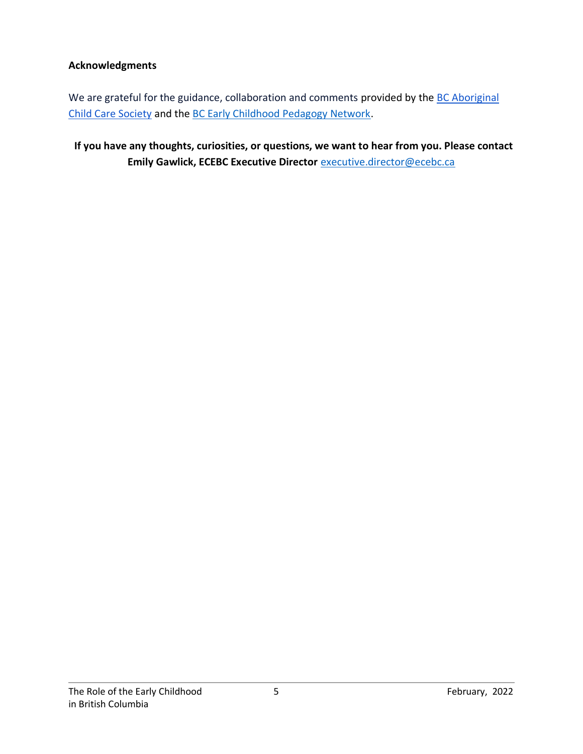### **Acknowledgments**

We are grateful for the guidance, collaboration and comments provided by the BC Aboriginal [Child Care Society](https://www.acc-society.bc.ca/) and the [BC Early Childhood Pedagogy Network.](https://www.ecpn.ca/)

 **If you have any thoughts, curiosities, or questions, we want to hear from you. Please contact Emily Gawlick, ECEBC Executive Director** [executive.director@ecebc.ca](mailto:executive.director@ecebc.ca)